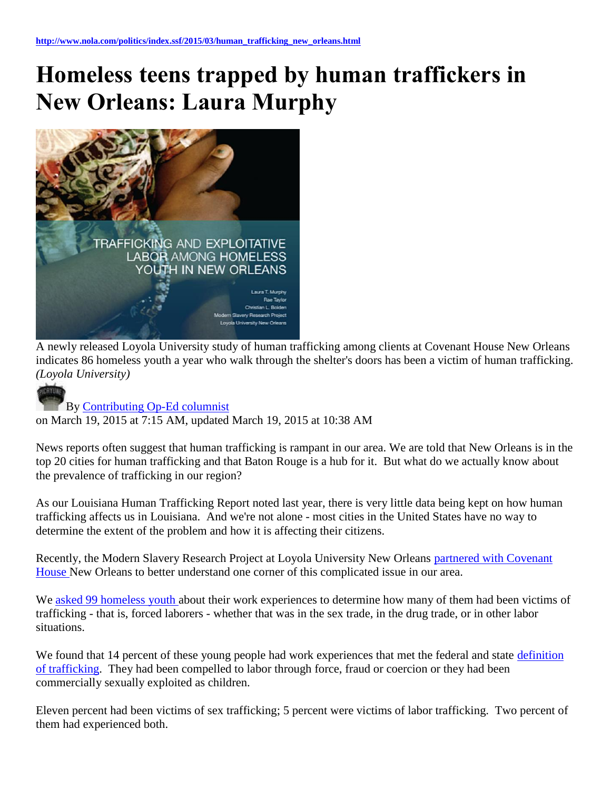## **Homeless teens trapped by human traffickers in New Orleans: Laura Murphy**



A newly released Loyola University study of human trafficking among clients at Covenant House New Orleans indicates 86 homeless youth a year who walk through the shelter's doors has been a victim of human trafficking. *(Loyola University)*



## By [Contributing Op-Ed columnist](http://connect.nola.com/user/nolatpcooped/posts.html)

on March 19, 2015 at 7:15 AM, updated March 19, 2015 at 10:38 AM

News reports often suggest that human trafficking is rampant in our area. We are told that New Orleans is in the top 20 cities for human trafficking and that Baton Rouge is a hub for it. But what do we actually know about the prevalence of trafficking in our region?

As our Louisiana Human Trafficking Report noted last year, there is very little data being kept on how human trafficking affects us in Louisiana. And we're not alone - most cities in the United States have no way to determine the extent of the problem and how it is affecting their citizens.

Recently, the Modern Slavery Research Project at Loyola University New Orleans partnered with Covenant [House N](http://www.nola.com/health/index.ssf/2015/03/loyola_human_trafficking_homel.html)ew Orleans to better understand one corner of this complicated issue in our area.

We [asked 99 homeless youth a](http://www.modernslaveryresearch.org/#%21trafficking-among-homeless-youth-report/c1ut0)bout their work experiences to determine how many of them had been victims of trafficking - that is, forced laborers - whether that was in the sex trade, in the drug trade, or in other labor situations.

We found that 14 percent of these young people had work experiences that met the federal and state definition [of trafficking.](http://www.traffickingresourcecenter.org/type-trafficking/human-trafficking) They had been compelled to labor through force, fraud or coercion or they had been commercially sexually exploited as children.

Eleven percent had been victims of sex trafficking; 5 percent were victims of labor trafficking. Two percent of them had experienced both.